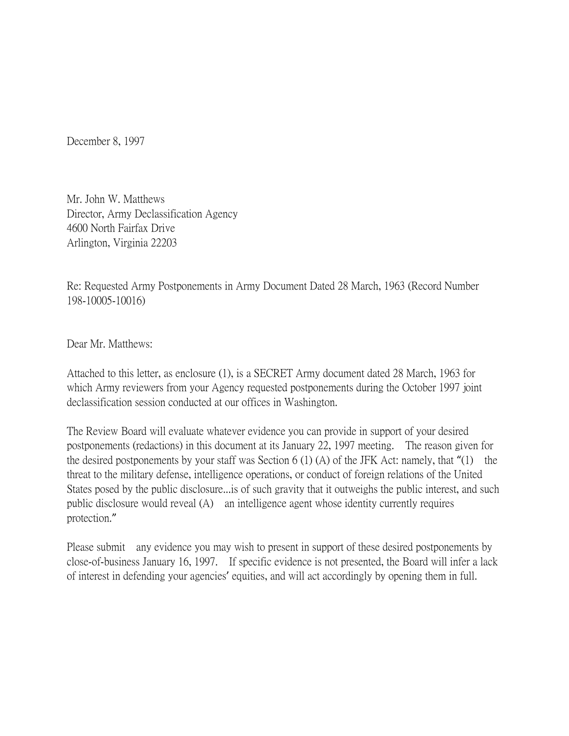December 8, 1997

Mr. John W. Matthews Director, Army Declassification Agency 4600 North Fairfax Drive Arlington, Virginia 22203

Re: Requested Army Postponements in Army Document Dated 28 March, 1963 (Record Number 198-10005-10016)

Dear Mr. Matthews:

Attached to this letter, as enclosure (1), is a SECRET Army document dated 28 March, 1963 for which Army reviewers from your Agency requested postponements during the October 1997 joint declassification session conducted at our offices in Washington.

The Review Board will evaluate whatever evidence you can provide in support of your desired postponements (redactions) in this document at its January 22, 1997 meeting. The reason given for the desired postponements by your staff was Section  $6(1)(A)$  of the JFK Act: namely, that "(1) the threat to the military defense, intelligence operations, or conduct of foreign relations of the United States posed by the public disclosure...is of such gravity that it outweighs the public interest, and such public disclosure would reveal (A) an intelligence agent whose identity currently requires protection."

Please submit any evidence you may wish to present in support of these desired postponements by close-of-business January 16, 1997. If specific evidence is not presented, the Board will infer a lack of interest in defending your agencies' equities, and will act accordingly by opening them in full.